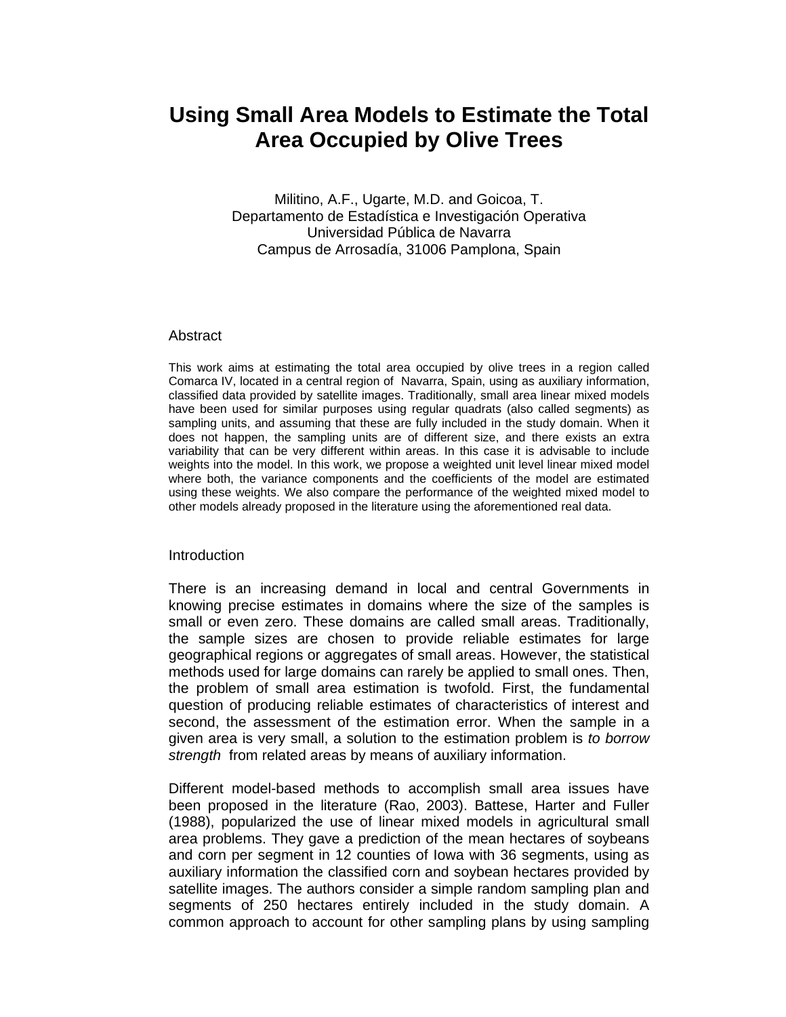## **Using Small Area Models to Estimate the Total Area Occupied by Olive Trees**

Militino, A.F., Ugarte, M.D. and Goicoa, T. Departamento de Estadística e Investigación Operativa Universidad Pública de Navarra Campus de Arrosadía, 31006 Pamplona, Spain

## Abstract

This work aims at estimating the total area occupied by olive trees in a region called Comarca IV, located in a central region of Navarra, Spain, using as auxiliary information, classified data provided by satellite images. Traditionally, small area linear mixed models have been used for similar purposes using regular quadrats (also called segments) as sampling units, and assuming that these are fully included in the study domain. When it does not happen, the sampling units are of different size, and there exists an extra variability that can be very different within areas. In this case it is advisable to include weights into the model. In this work, we propose a weighted unit level linear mixed model where both, the variance components and the coefficients of the model are estimated using these weights. We also compare the performance of the weighted mixed model to other models already proposed in the literature using the aforementioned real data.

## **Introduction**

There is an increasing demand in local and central Governments in knowing precise estimates in domains where the size of the samples is small or even zero. These domains are called small areas. Traditionally, the sample sizes are chosen to provide reliable estimates for large geographical regions or aggregates of small areas. However, the statistical methods used for large domains can rarely be applied to small ones. Then, the problem of small area estimation is twofold. First, the fundamental question of producing reliable estimates of characteristics of interest and second, the assessment of the estimation error. When the sample in a given area is very small, a solution to the estimation problem is *to borrow strength* from related areas by means of auxiliary information.

Different model-based methods to accomplish small area issues have been proposed in the literature (Rao, 2003). Battese, Harter and Fuller (1988), popularized the use of linear mixed models in agricultural small area problems. They gave a prediction of the mean hectares of soybeans and corn per segment in 12 counties of Iowa with 36 segments, using as auxiliary information the classified corn and soybean hectares provided by satellite images. The authors consider a simple random sampling plan and segments of 250 hectares entirely included in the study domain. A common approach to account for other sampling plans by using sampling